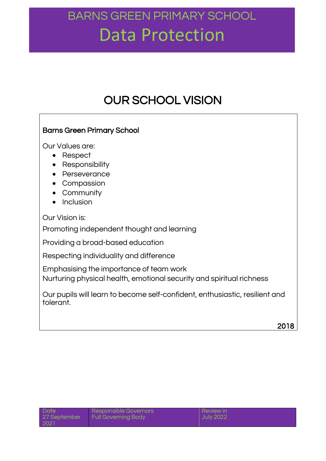### OUR SCHOOL VISION

### Barns Green Primary School

Our Values are:

- Respect
- Responsibility
- Perseverance
- Compassion
- Community
- $\bullet$  Inclusion

Our Vision is:

Promoting independent thought and learning

Providing a broad-based education

Respecting individuality and difference

Emphasising the importance of team work

Nurturing physical health, emotional security and spiritual richness

Our pupils will learn to become self-confident, enthusiastic, resilient and tolerant.

| Date | Responsible Governors              | <b>Review in</b> |
|------|------------------------------------|------------------|
|      | 27 September   Full Governing Body | July 2022        |
| 2021 |                                    |                  |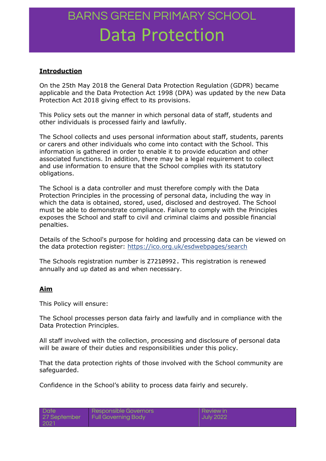### **Introduction**

On the 25th May 2018 the General Data Protection Regulation (GDPR) became applicable and the Data Protection Act 1998 (DPA) was updated by the new Data Protection Act 2018 giving effect to its provisions.

This Policy sets out the manner in which personal data of staff, students and other individuals is processed fairly and lawfully.

The School collects and uses personal information about staff, students, parents or carers and other individuals who come into contact with the School. This information is gathered in order to enable it to provide education and other associated functions. In addition, there may be a legal requirement to collect and use information to ensure that the School complies with its statutory obligations.

The School is a data controller and must therefore comply with the Data Protection Principles in the processing of personal data, including the way in which the data is obtained, stored, used, disclosed and destroyed. The School must be able to demonstrate compliance. Failure to comply with the Principles exposes the School and staff to civil and criminal claims and possible financial penalties.

Details of the School's purpose for holding and processing data can be viewed on the data protection register:<https://ico.org.uk/esdwebpages/search>

The Schools registration number is Z7210992. This registration is renewed annually and up dated as and when necessary.

#### **Aim**

This Policy will ensure:

The School processes person data fairly and lawfully and in compliance with the Data Protection Principles.

All staff involved with the collection, processing and disclosure of personal data will be aware of their duties and responsibilities under this policy.

That the data protection rights of those involved with the School community are safeguarded.

Confidence in the School's ability to process data fairly and securely.

| Date         | I Responsible Governors I  | <b>Review in</b> |
|--------------|----------------------------|------------------|
| 27 September | <b>Full Governing Body</b> | July 2022        |
| 2021         |                            |                  |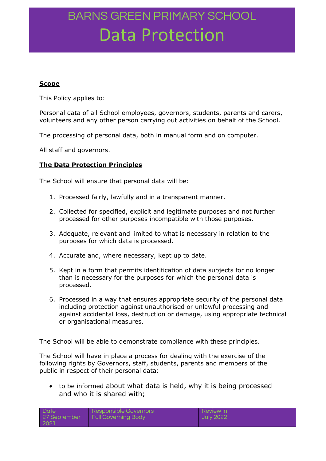#### **Scope**

This Policy applies to:

Personal data of all School employees, governors, students, parents and carers, volunteers and any other person carrying out activities on behalf of the School.

The processing of personal data, both in manual form and on computer.

All staff and governors.

#### **The Data Protection Principles**

The School will ensure that personal data will be:

- 1. Processed fairly, lawfully and in a transparent manner.
- 2. Collected for specified, explicit and legitimate purposes and not further processed for other purposes incompatible with those purposes.
- 3. Adequate, relevant and limited to what is necessary in relation to the purposes for which data is processed.
- 4. Accurate and, where necessary, kept up to date.
- 5. Kept in a form that permits identification of data subjects for no longer than is necessary for the purposes for which the personal data is processed.
- 6. Processed in a way that ensures appropriate security of the personal data including protection against unauthorised or unlawful processing and against accidental loss, destruction or damage, using appropriate technical or organisational measures.

The School will be able to demonstrate compliance with these principles.

The School will have in place a process for dealing with the exercise of the following rights by Governors, staff, students, parents and members of the public in respect of their personal data:

 to be informed about what data is held, why it is being processed and who it is shared with;

| Date         | Responsible Governors | Review in        |
|--------------|-----------------------|------------------|
| 27 September | Full Governing Body   | <b>July 2022</b> |
| -2021        |                       |                  |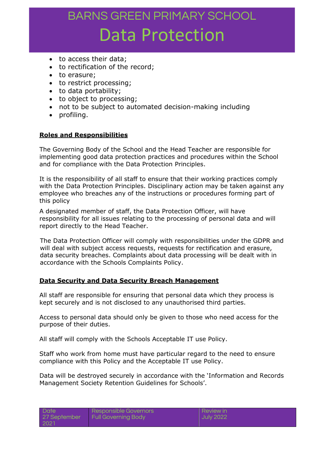- to access their data;
- to rectification of the record;
- to erasure;
- to restrict processing:
- to data portability;
- to object to processing:
- not to be subject to automated decision-making including
- profiling.

#### **Roles and Responsibilities**

The Governing Body of the School and the Head Teacher are responsible for implementing good data protection practices and procedures within the School and for compliance with the Data Protection Principles.

It is the responsibility of all staff to ensure that their working practices comply with the Data Protection Principles. Disciplinary action may be taken against any employee who breaches any of the instructions or procedures forming part of this policy

A designated member of staff, the Data Protection Officer, will have responsibility for all issues relating to the processing of personal data and will report directly to the Head Teacher.

The Data Protection Officer will comply with responsibilities under the GDPR and will deal with subject access requests, requests for rectification and erasure, data security breaches. Complaints about data processing will be dealt with in accordance with the Schools Complaints Policy.

#### **Data Security and Data Security Breach Management**

All staff are responsible for ensuring that personal data which they process is kept securely and is not disclosed to any unauthorised third parties.

Access to personal data should only be given to those who need access for the purpose of their duties.

All staff will comply with the Schools Acceptable IT use Policy.

Staff who work from home must have particular regard to the need to ensure compliance with this Policy and the Acceptable IT use Policy.

Data will be destroyed securely in accordance with the 'Information and Records Management Society Retention Guidelines for Schools'.

Review in July 2022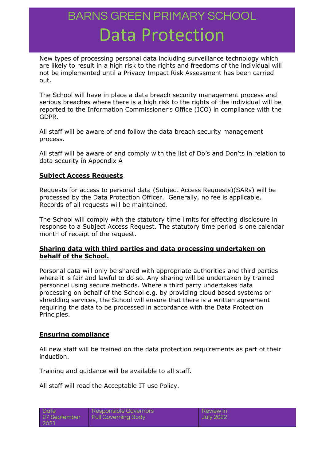New types of processing personal data including surveillance technology which are likely to result in a high risk to the rights and freedoms of the individual will not be implemented until a Privacy Impact Risk Assessment has been carried out.

The School will have in place a data breach security management process and serious breaches where there is a high risk to the rights of the individual will be reported to the Information Commissioner's Office (ICO) in compliance with the GDPR.

All staff will be aware of and follow the data breach security management process.

All staff will be aware of and comply with the list of Do's and Don'ts in relation to data security in Appendix A

#### **Subject Access Requests**

Requests for access to personal data (Subject Access Requests)(SARs) will be processed by the Data Protection Officer. Generally, no fee is applicable. Records of all requests will be maintained.

The School will comply with the statutory time limits for effecting disclosure in response to a Subject Access Request. The statutory time period is one calendar month of receipt of the request.

### **Sharing data with third parties and data processing undertaken on behalf of the School.**

Personal data will only be shared with appropriate authorities and third parties where it is fair and lawful to do so. Any sharing will be undertaken by trained personnel using secure methods. Where a third party undertakes data processing on behalf of the School e.g. by providing cloud based systems or shredding services, the School will ensure that there is a written agreement requiring the data to be processed in accordance with the Data Protection Principles.

### **Ensuring compliance**

All new staff will be trained on the data protection requirements as part of their induction.

Training and guidance will be available to all staff.

All staff will read the Acceptable IT use Policy.